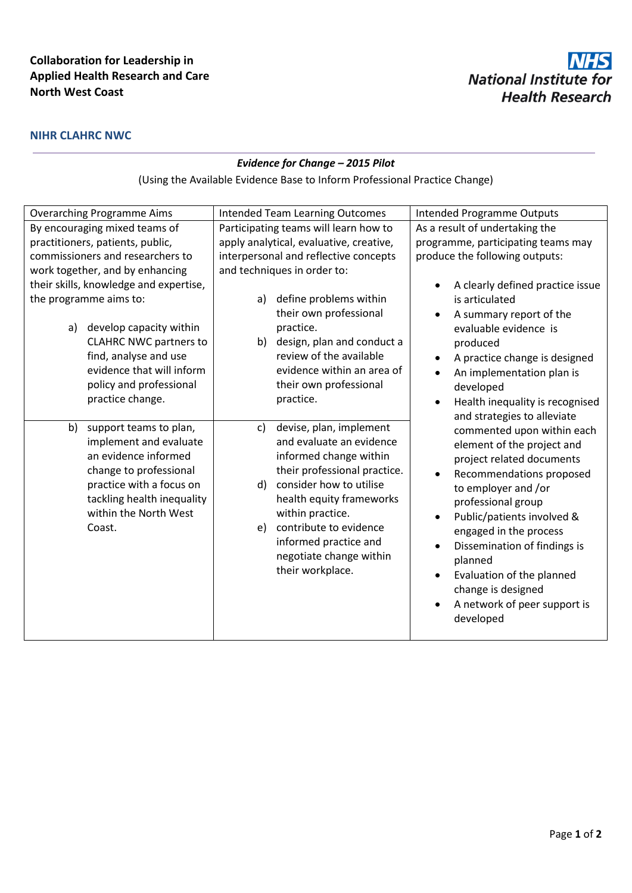## **Collaboration for Leadership in Applied Health Research and Care North West Coast**

## **NIHR CLAHRC NWC**

## *Evidence for Change – 2015 Pilot*

(Using the Available Evidence Base to Inform Professional Practice Change)

|                                                                                                                                                                                                                                                                                            | <b>Overarching Programme Aims</b>                   | <b>Intended Team Learning Outcomes</b> |                                            | <b>Intended Programme Outputs</b>  |
|--------------------------------------------------------------------------------------------------------------------------------------------------------------------------------------------------------------------------------------------------------------------------------------------|-----------------------------------------------------|----------------------------------------|--------------------------------------------|------------------------------------|
|                                                                                                                                                                                                                                                                                            | By encouraging mixed teams of                       |                                        | Participating teams will learn how to      | As a result of undertaking the     |
|                                                                                                                                                                                                                                                                                            | practitioners, patients, public,                    |                                        | apply analytical, evaluative, creative,    | programme, participating teams may |
| commissioners and researchers to<br>work together, and by enhancing<br>their skills, knowledge and expertise,<br>the programme aims to:<br>develop capacity within<br>a)<br><b>CLAHRC NWC partners to</b><br>find, analyse and use<br>evidence that will inform<br>policy and professional |                                                     | interpersonal and reflective concepts  |                                            | produce the following outputs:     |
|                                                                                                                                                                                                                                                                                            |                                                     |                                        | and techniques in order to:                |                                    |
|                                                                                                                                                                                                                                                                                            |                                                     |                                        |                                            | A clearly defined practice issue   |
|                                                                                                                                                                                                                                                                                            |                                                     | a)                                     | define problems within                     | is articulated                     |
|                                                                                                                                                                                                                                                                                            |                                                     |                                        | their own professional                     | A summary report of the            |
|                                                                                                                                                                                                                                                                                            |                                                     |                                        | practice.                                  | evaluable evidence is              |
|                                                                                                                                                                                                                                                                                            |                                                     |                                        | b) design, plan and conduct a              | produced                           |
|                                                                                                                                                                                                                                                                                            |                                                     |                                        | review of the available                    | A practice change is designed      |
|                                                                                                                                                                                                                                                                                            |                                                     |                                        | evidence within an area of                 | An implementation plan is          |
|                                                                                                                                                                                                                                                                                            |                                                     |                                        | their own professional                     | developed                          |
|                                                                                                                                                                                                                                                                                            | practice change.                                    |                                        | practice.                                  | Health inequality is recognised    |
|                                                                                                                                                                                                                                                                                            |                                                     |                                        |                                            | and strategies to alleviate        |
| b)                                                                                                                                                                                                                                                                                         | support teams to plan,                              | c)                                     | devise, plan, implement                    | commented upon within each         |
|                                                                                                                                                                                                                                                                                            | implement and evaluate                              |                                        | and evaluate an evidence                   | element of the project and         |
|                                                                                                                                                                                                                                                                                            | an evidence informed                                |                                        | informed change within                     | project related documents          |
|                                                                                                                                                                                                                                                                                            | change to professional                              |                                        | their professional practice.               | Recommendations proposed           |
|                                                                                                                                                                                                                                                                                            | practice with a focus on                            | d)                                     | consider how to utilise                    | to employer and /or                |
|                                                                                                                                                                                                                                                                                            | tackling health inequality<br>within the North West |                                        | health equity frameworks                   | professional group                 |
|                                                                                                                                                                                                                                                                                            |                                                     |                                        | within practice.<br>contribute to evidence | Public/patients involved &         |
|                                                                                                                                                                                                                                                                                            | Coast.                                              | e)                                     |                                            | engaged in the process             |
|                                                                                                                                                                                                                                                                                            |                                                     |                                        | informed practice and                      | Dissemination of findings is       |
|                                                                                                                                                                                                                                                                                            |                                                     |                                        | negotiate change within                    | planned                            |
|                                                                                                                                                                                                                                                                                            |                                                     |                                        | their workplace.                           | Evaluation of the planned          |
|                                                                                                                                                                                                                                                                                            |                                                     |                                        |                                            | change is designed                 |
|                                                                                                                                                                                                                                                                                            |                                                     |                                        |                                            | A network of peer support is       |
|                                                                                                                                                                                                                                                                                            |                                                     |                                        |                                            | developed                          |
|                                                                                                                                                                                                                                                                                            |                                                     |                                        |                                            |                                    |